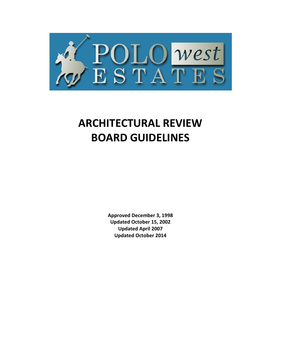

# **ARCHITECTURAL REVIEW BOARD GUIDELINES**

**Approved December 3, 1998 Updated October 15, 2002 Updated April 2007 Updated October 2014**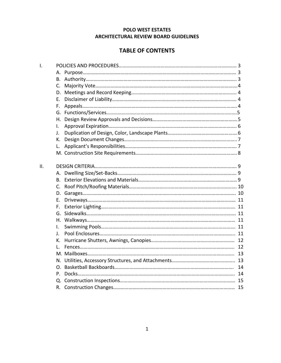## **POLO WEST ESTATES ARCHITECTURAL REVIEW BOARD GUIDELINES**

# **TABLE OF CONTENTS**

| $\mathsf{I}$ . |    |  |
|----------------|----|--|
|                |    |  |
|                | B. |  |
|                | C. |  |
|                | D. |  |
|                | Е. |  |
|                | F. |  |
|                | G. |  |
|                | Н. |  |
|                | I. |  |
|                | J. |  |
|                | К. |  |
|                | L. |  |
|                |    |  |
|                |    |  |
| II.            |    |  |
|                | А. |  |
|                | В. |  |
|                | C. |  |
|                | D. |  |
|                | Е. |  |
|                | F. |  |
|                | G. |  |
|                |    |  |
|                | Ι. |  |
|                | J. |  |
|                | К. |  |
|                | Ι. |  |
|                |    |  |
|                |    |  |
|                | 0. |  |
|                | P. |  |
|                |    |  |
|                |    |  |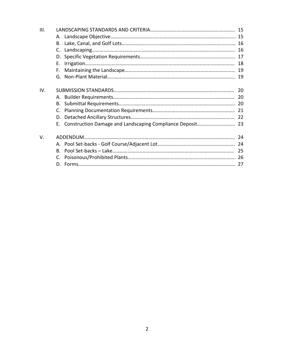| III. |    |  |
|------|----|--|
|      |    |  |
|      |    |  |
|      |    |  |
|      |    |  |
|      | F. |  |
|      |    |  |
|      |    |  |
| IV.  |    |  |
|      |    |  |
|      |    |  |
|      |    |  |
|      |    |  |
|      |    |  |
| V.   |    |  |
|      |    |  |
|      |    |  |
|      |    |  |
|      |    |  |
|      |    |  |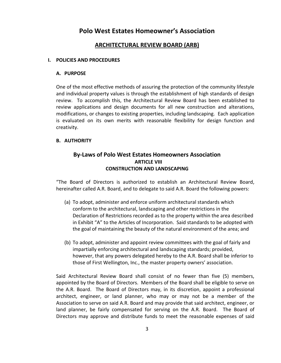# **Polo West Estates Homeowner's Association**

## **ARCHITECTURAL REVIEW BOARD (ARB)**

#### **I. POLICIES AND PROCEDURES**

#### **A. PURPOSE**

One of the most effective methods of assuring the protection of the community lifestyle and individual property values is through the establishment of high standards of design review. To accomplish this, the Architectural Review Board has been established to review applications and design documents for all new construction and alterations, modifications, or changes to existing properties, including landscaping. Each application is evaluated on its own merits with reasonable flexibility for design function and creativity.

#### **B. AUTHORITY**

## **By-Laws of Polo West Estates Homeowners Association ARTICLE VIII CONSTRUCTION AND LANDSCAPING**

"The Board of Directors is authorized to establish an Architectural Review Board, hereinafter called A.R. Board, and to delegate to said A.R. Board the following powers:

- (a) To adopt, administer and enforce uniform architectural standards which conform to the architectural, landscaping and other restrictions in the Declaration of Restrictions recorded as to the property within the area described in Exhibit "A" to the Articles of Incorporation. Said standards to be adopted with the goal of maintaining the beauty of the natural environment of the area; and
- (b) To adopt, administer and appoint review committees with the goal of fairly and impartially enforcing architectural and landscaping standards; provided, however, that any powers delegated hereby to the A.R. Board shall be inferior to those of First Wellington, Inc., the master property owners' association.

Said Architectural Review Board shall consist of no fewer than five (5) members, appointed by the Board of Directors. Members of the Board shall be eligible to serve on the A.R. Board. The Board of Directors may, in its discretion, appoint a professional architect, engineer, or land planner, who may or may not be a member of the Association to serve on said A.R. Board and may provide that said architect, engineer, or land planner, be fairly compensated for serving on the A.R. Board. The Board of Directors may approve and distribute funds to meet the reasonable expenses of said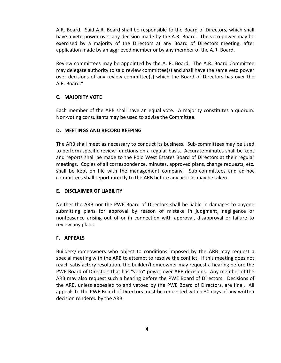A.R. Board. Said A.R. Board shall be responsible to the Board of Directors, which shall have a veto power over any decision made by the A.R. Board. The veto power may be exercised by a majority of the Directors at any Board of Directors meeting, after application made by an aggrieved member or by any member of the A.R. Board.

Review committees may be appointed by the A. R. Board. The A.R. Board Committee may delegate authority to said review committee(s) and shall have the same veto power over decisions of any review committee(s) which the Board of Directors has over the A.R. Board."

## **C. MAJORITY VOTE**

Each member of the ARB shall have an equal vote. A majority constitutes a quorum. Non-voting consultants may be used to advise the Committee.

## **D. MEETINGS AND RECORD KEEPING**

The ARB shall meet as necessary to conduct its business. Sub-committees may be used to perform specific review functions on a regular basis. Accurate minutes shall be kept and reports shall be made to the Polo West Estates Board of Directors at their regular meetings. Copies of all correspondence, minutes, approved plans, change requests, etc. shall be kept on file with the management company. Sub-committees and ad-hoc committees shall report directly to the ARB before any actions may be taken.

## **E. DISCLAIMER OF LIABILITY**

Neither the ARB nor the PWE Board of Directors shall be liable in damages to anyone submitting plans for approval by reason of mistake in judgment, negligence or nonfeasance arising out of or in connection with approval, disapproval or failure to review any plans.

## **F. APPEALS**

Builders/homeowners who object to conditions imposed by the ARB may request a special meeting with the ARB to attempt to resolve the conflict. If this meeting does not reach satisfactory resolution, the builder/homeowner may request a hearing before the PWE Board of Directors that has "veto" power over ARB decisions. Any member of the ARB may also request such a hearing before the PWE Board of Directors. Decisions of the ARB, unless appealed to and vetoed by the PWE Board of Directors, are final. All appeals to the PWE Board of Directors must be requested within 30 days of any written decision rendered by the ARB.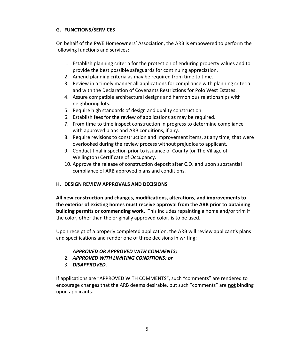## **G. FUNCTIONS/SERVICES**

On behalf of the PWE Homeowners' Association, the ARB is empowered to perform the following functions and services:

- 1. Establish planning criteria for the protection of enduring property values and to provide the best possible safeguards for continuing appreciation.
- 2. Amend planning criteria as may be required from time to time.
- 3. Review in a timely manner all applications for compliance with planning criteria and with the Declaration of Covenants Restrictions for Polo West Estates.
- 4. Assure compatible architectural designs and harmonious relationships with neighboring lots.
- 5. Require high standards of design and quality construction.
- 6. Establish fees for the review of applications as may be required.
- 7. From time to time inspect construction in progress to determine compliance with approved plans and ARB conditions, if any.
- 8. Require revisions to construction and improvement items, at any time, that were overlooked during the review process without prejudice to applicant.
- 9. Conduct final inspection prior to issuance of County (or The Village of Wellington) Certificate of Occupancy.
- 10. Approve the release of construction deposit after C.O. and upon substantial compliance of ARB approved plans and conditions.

## **H. DESIGN REVIEW APPROVALS AND DECISIONS**

**All new construction and changes, modifications, alterations, and improvements to the exterior of existing homes must receive approval from the ARB prior to obtaining building permits or commending work.** This includes repainting a home and/or trim if the color, other than the originally approved color, is to be used.

Upon receipt of a properly completed application, the ARB will review applicant's plans and specifications and render one of three decisions in writing:

- 1. *APPROVED OR APPROVED WITH COMMENTS;*
- 2. *APPROVED WITH LIMITING CONDITIONS; or*
- 3. *DISAPPROVED.*

If applications are "APPROVED WITH COMMENTS", such "comments" are rendered to encourage changes that the ARB deems desirable, but such "comments" are **not** binding upon applicants.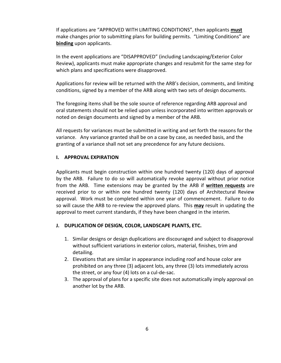If applications are "APPROVED WITH LIMITING CONDITIONS", then applicants **must** make changes prior to submitting plans for building permits. "Limiting Conditions" are **binding** upon applicants.

In the event applications are "DISAPPROVED" (including Landscaping/Exterior Color Review), applicants must make appropriate changes and resubmit for the same step for which plans and specifications were disapproved.

Applications for review will be returned with the ARB's decision, comments, and limiting conditions, signed by a member of the ARB along with two sets of design documents.

The foregoing items shall be the sole source of reference regarding ARB approval and oral statements should not be relied upon unless incorporated into written approvals or noted on design documents and signed by a member of the ARB.

All requests for variances must be submitted in writing and set forth the reasons for the variance. Any variance granted shall be on a case by case, as needed basis, and the granting of a variance shall not set any precedence for any future decisions.

## **I. APPROVAL EXPIRATION**

Applicants must begin construction within one hundred twenty (120) days of approval by the ARB. Failure to do so will automatically revoke approval without prior notice from the ARB. Time extensions may be granted by the ARB if **written requests** are received prior to or within one hundred twenty (120) days of Architectural Review approval. Work must be completed within one year of commencement. Failure to do so will cause the ARB to re-review the approved plans. This **may** result in updating the approval to meet current standards, if they have been changed in the interim.

## **J. DUPLICATION OF DESIGN, COLOR, LANDSCAPE PLANTS, ETC.**

- 1. Similar designs or design duplications are discouraged and subject to disapproval without sufficient variations in exterior colors, material, finishes, trim and detailing.
- 2. Elevations that are similar in appearance including roof and house color are prohibited on any three (3) adjacent lots, any three (3) lots immediately across the street, or any four (4) lots on a cul-de-sac.
- 3. The approval of plans for a specific site does not automatically imply approval on another lot by the ARB.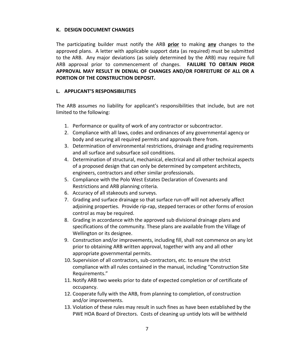#### **K. DESIGN DOCUMENT CHANGES**

The participating builder must notify the ARB **prior** to making **any** changes to the approved plans. A letter with applicable support data (as required) must be submitted to the ARB. Any major deviations (as solely determined by the ARB) may require full ARB approval prior to commencement of changes. **FAILURE TO OBTAIN PRIOR APPROVAL MAY RESULT IN DENIAL OF CHANGES AND/OR FORFEITURE OF ALL OR A PORTION OF THE CONSTRUCTION DEPOSIT.**

#### **L. APPLICANT'S RESPONSIBILITIES**

The ARB assumes no liability for applicant's responsibilities that include, but are not limited to the following:

- 1. Performance or quality of work of any contractor or subcontractor.
- 2. Compliance with all laws, codes and ordinances of any governmental agency or body and securing all required permits and approvals there from.
- 3. Determination of environmental restrictions, drainage and grading requirements and all surface and subsurface soil conditions.
- 4. Determination of structural, mechanical, electrical and all other technical aspects of a proposed design that can only be determined by competent architects, engineers, contractors and other similar professionals.
- 5. Compliance with the Polo West Estates Declaration of Covenants and Restrictions and ARB planning criteria.
- 6. Accuracy of all stakeouts and surveys.
- 7. Grading and surface drainage so that surface run-off will not adversely affect adjoining properties. Provide rip-rap, stepped terraces or other forms of erosion control as may be required.
- 8. Grading in accordance with the approved sub divisional drainage plans and specifications of the community. These plans are available from the Village of Wellington or its designee.
- 9. Construction and/or improvements, including fill, shall not commence on any lot prior to obtaining ARB written approval, together with any and all other appropriate governmental permits.
- 10. Supervision of all contractors, sub-contractors, etc. to ensure the strict compliance with all rules contained in the manual, including "Construction Site Requirements."
- 11. Notify ARB two weeks prior to date of expected completion or of certificate of occupancy.
- 12. Cooperate fully with the ARB, from planning to completion, of construction and/or improvements.
- 13. Violation of these rules may result in such fines as have been established by the PWE HOA Board of Directors. Costs of cleaning up untidy lots will be withheld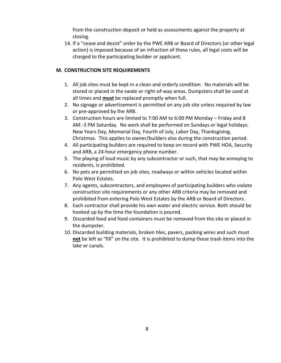from the construction deposit or held as assessments against the property at closing.

14. If a "cease and desist" order by the PWE ARB or Board of Directors (or other legal action) is imposed because of an infraction of these rules, all legal costs will be charged to the participating builder or applicant.

## **M. CONSTRUCTION SITE REQUIREMENTS**

- 1. All job sites must be kept in a clean and orderly condition. No materials will be stored or placed in the swale or right-of-way areas. Dumpsters shall be used at all times and **must** be replaced promptly when full.
- 2. No signage or advertisement is permitted on any job site unless required by law or pre-approved by the ARB.
- 3. Construction hours are limited to 7:00 AM to 6:00 PM Monday Friday and 8 AM -3 PM Saturday. No work shall be performed on Sundays or legal holidays: New Years Day, Memorial Day, Fourth of July, Labor Day, Thanksgiving, Christmas. This applies to owner/builders also during the construction period.
- 4. All participating builders are required to keep on record with PWE HOA, Security and ARB, a 24-hour emergency phone number.
- 5. The playing of loud music by any subcontractor or such, that may be annoying to residents, is prohibited.
- 6. No pets are permitted on job sites, roadways or within vehicles located within Polo West Estates.
- 7. Any agents, subcontractors, and employees of participating builders who violate construction site requirements or any other ARB criteria may be removed and prohibited from entering Polo West Estates by the ARB or Board of Directors.
- 8. Each contractor shall provide his own water and electric service. Both should be hooked up by the time the foundation is poured.
- 9. Discarded food and food containers must be removed from the site or placed in the dumpster.
- 10. Discarded building materials, broken tiles, pavers, packing wires and such must **not** be left as "fill" on the site. It is prohibited to dump these trash items into the lake or canals.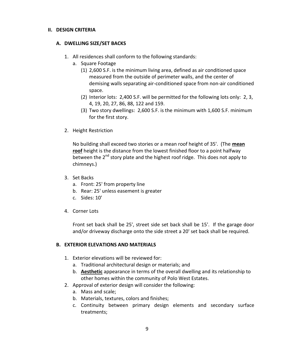#### **II. DESIGN CRITERIA**

#### **A. DWELLING SIZE/SET BACKS**

- 1. All residences shall conform to the following standards:
	- a. Square Footage
		- (1) 2,600 S.F. is the minimum living area, defined as air conditioned space measured from the outside of perimeter walls, and the center of demising walls separating air-conditioned space from non-air conditioned space.
		- (2) Interior lots: 2,400 S.F. will be permitted for the following lots only: 2, 3, 4, 19, 20, 27, 86, 88, 122 and 159.
		- (3) Two story dwellings: 2,600 S.F. is the minimum with 1,600 S.F. minimum for the first story.
- 2. Height Restriction

No building shall exceed two stories or a mean roof height of 35'. (The **mean roof** height is the distance from the lowest finished floor to a point halfway between the  $2^{nd}$  story plate and the highest roof ridge. This does not apply to chimneys.)

- 3. Set Backs
	- a. Front: 25' from property line
	- b. Rear: 25' unless easement is greater
	- c. Sides: 10'
- 4. Corner Lots

Front set back shall be 25', street side set back shall be 15'. If the garage door and/or driveway discharge onto the side street a 20' set back shall be required.

## **B. EXTERIOR ELEVATIONS AND MATERIALS**

- 1. Exterior elevations will be reviewed for:
	- a. Traditional architectural design or materials; and
	- b. **Aesthetic** appearance in terms of the overall dwelling and its relationship to other homes within the community of Polo West Estates.
- 2. Approval of exterior design will consider the following:
	- a. Mass and scale;
	- b. Materials, textures, colors and finishes;
	- c. Continuity between primary design elements and secondary surface treatments;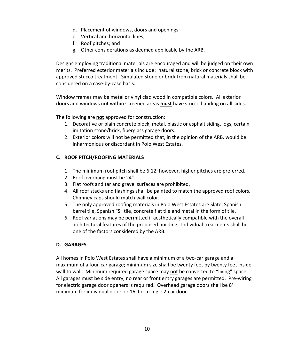- d. Placement of windows, doors and openings;
- e. Vertical and horizontal lines;
- f. Roof pitches; and
- g. Other considerations as deemed applicable by the ARB.

Designs employing traditional materials are encouraged and will be judged on their own merits. Preferred exterior materials include: natural stone, brick or concrete block with approved stucco treatment. Simulated stone or brick from natural materials shall be considered on a case-by-case basis.

Window frames may be metal or vinyl clad wood in compatible colors. All exterior doors and windows not within screened areas **must** have stucco banding on all sides.

The following are **not** approved for construction:

- 1. Decorative or plain concrete block, metal, plastic or asphalt siding, logs, certain imitation stone/brick, fiberglass garage doors.
- 2. Exterior colors will not be permitted that, in the opinion of the ARB, would be inharmonious or discordant in Polo West Estates.

## **C. ROOF PITCH/ROOFING MATERIALS**

- 1. The minimum roof pitch shall be 6:12; however, higher pitches are preferred.
- 2. Roof overhang must be 24".
- 3. Flat roofs and tar and gravel surfaces are prohibited.
- 4. All roof stacks and flashings shall be painted to match the approved roof colors. Chimney caps should match wall color.
- 5. The only approved roofing materials in Polo West Estates are Slate, Spanish barrel tile, Spanish "S" tile, concrete flat tile and metal in the form of tile.
- 6. Roof variations may be permitted if aesthetically compatible with the overall architectural features of the proposed building. Individual treatments shall be one of the factors considered by the ARB.

## **D. GARAGES**

All homes in Polo West Estates shall have a minimum of a two-car garage and a maximum of a four-car garage; minimum size shall be twenty feet by twenty feet inside wall to wall. Minimum required garage space may not be converted to "living" space. All garages must be side entry, no rear or front entry garages are permitted. Pre-wiring for electric garage door openers is required. Overhead garage doors shall be 8' minimum for individual doors or 16' for a single 2-car door.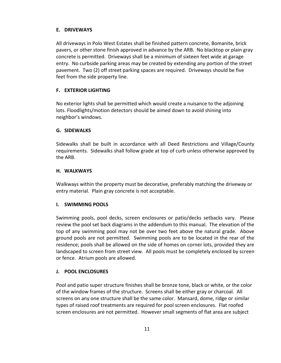## **E. DRIVEWAYS**

All driveways in Polo West Estates shall be finished pattern concrete, Bomanite, brick pavers, or other stone finish approved in advance by the ARB. No blacktop or plain gray concrete is permitted. Driveways shall be a minimum of sixteen feet wide at garage entry. No curbside parking areas may be created by extending any portion of the street pavement. Two (2) off street parking spaces are required. Driveways should be five feet from the side property line.

#### **F. EXTERIOR LIGHTING**

No exterior lights shall be permitted which would create a nuisance to the adjoining lots. Floodlights/motion detectors should be aimed down to avoid shining into neighbor's windows.

#### **G. SIDEWALKS**

Sidewalks shall be built in accordance with all Deed Restrictions and Village/County requirements. Sidewalks shall follow grade at top of curb unless otherwise approved by the ARB.

#### **H. WALKWAYS**

Walkways within the property must be decorative, preferably matching the driveway or entry material. Plain gray concrete is not acceptable.

#### **I. SWIMMING POOLS**

Swimming pools, pool decks, screen enclosures or patio/decks setbacks vary. Please review the pool set back diagrams in the addendum to this manual. The elevation of the top of any swimming pool may not be over two feet above the natural grade. Above ground pools are not permitted. Swimming pools are to be located in the rear of the residence; pools shall be allowed on the side of homes on corner lots, provided they are landscaped to screen from street view. All pools must be completely enclosed by screen or fence. Atrium pools are allowed.

#### **J. POOL ENCLOSURES**

Pool and patio super structure finishes shall be bronze tone, black or white, or the color of the window frames of the structure. Screens shall be either gray or charcoal. All screens on any one structure shall be the same color. Mansard, dome, ridge or similar types of raised roof treatments are required for pool screen enclosures. Flat roofed screen enclosures are not permitted. However small segments of flat area are subject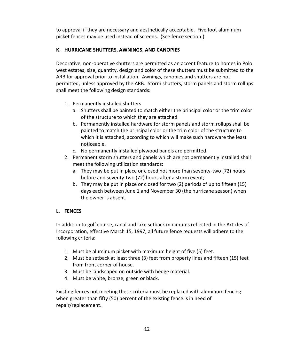to approval if they are necessary and aesthetically acceptable. Five foot aluminum picket fences may be used instead of screens. (See fence section.)

## **K. HURRICANE SHUTTERS, AWNINGS, AND CANOPIES**

Decorative, non-operative shutters are permitted as an accent feature to homes in Polo west estates; size, quantity, design and color of these shutters must be submitted to the ARB for approval prior to installation. Awnings, canopies and shutters are not permitted, unless approved by the ARB. Storm shutters, storm panels and storm rollups shall meet the following design standards:

- 1. Permanently installed shutters
	- a. Shutters shall be painted to match either the principal color or the trim color of the structure to which they are attached.
	- b. Permanently installed hardware for storm panels and storm rollups shall be painted to match the principal color or the trim color of the structure to which it is attached, according to which will make such hardware the least noticeable.
	- c. No permanently installed plywood panels are permitted.
- 2. Permanent storm shutters and panels which are not permanently installed shall meet the following utilization standards:
	- a. They may be put in place or closed not more than seventy-two (72) hours before and seventy-two (72) hours after a storm event;
	- b. They may be put in place or closed for two (2) periods of up to fifteen (15) days each between June 1 and November 30 (the hurricane season) when the owner is absent.

## **L. FENCES**

In addition to golf course, canal and lake setback minimums reflected in the Articles of Incorporation, effective March 15, 1997, all future fence requests will adhere to the following criteria:

- 1. Must be aluminum picket with maximum height of five (5) feet.
- 2. Must be setback at least three (3) feet from property lines and fifteen (15) feet from front corner of house.
- 3. Must be landscaped on outside with hedge material.
- 4. Must be white, bronze, green or black.

Existing fences not meeting these criteria must be replaced with aluminum fencing when greater than fifty (50) percent of the existing fence is in need of repair/replacement.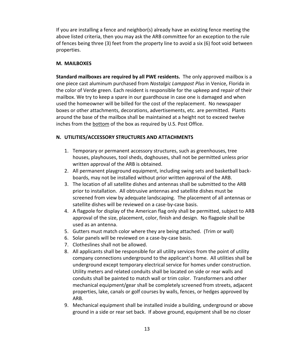If you are installing a fence and neighbor(s) already have an existing fence meeting the above listed criteria, then you may ask the ARB committee for an exception to the rule of fences being three (3) feet from the property line to avoid a six (6) foot void between properties.

#### **M. MAILBOXES**

**Standard mailboxes are required by all PWE residents.** The only approved mailbox is a one piece cast aluminum purchased from *Nostalgic Lamppost Plus* in Venice, Florida in the color of Verde green. Each resident is responsible for the upkeep and repair of their mailbox. We try to keep a spare in our guardhouse in case one is damaged and when used the homeowner will be billed for the cost of the replacement. No newspaper boxes or other attachments, decorations, advertisements, etc. are permitted. Plants around the base of the mailbox shall be maintained at a height not to exceed twelve inches from the bottom of the box as required by U.S. Post Office.

#### **N. UTILITIES/ACCESSORY STRUCTURES AND ATTACHMENTS**

- 1. Temporary or permanent accessory structures, such as greenhouses, tree houses, playhouses, tool sheds, doghouses, shall not be permitted unless prior written approval of the ARB is obtained.
- 2. All permanent playground equipment, including swing sets and basketball backboards, may not be installed without prior written approval of the ARB.
- 3. The location of all satellite dishes and antennas shall be submitted to the ARB prior to installation. All obtrusive antennas and satellite dishes must be screened from view by adequate landscaping. The placement of all antennas or satellite dishes will be reviewed on a case-by-case basis.
- 4. A flagpole for display of the American flag only shall be permitted, subject to ARB approval of the size, placement, color, finish and design. No flagpole shall be used as an antenna.
- 5. Gutters must match color where they are being attached. (Trim or wall)
- 6. Solar panels will be reviewed on a case-by-case basis.
- 7. Clotheslines shall not be allowed.
- 8. All applicants shall be responsible for all utility services from the point of utility company connections underground to the applicant's home. All utilities shall be underground except temporary electrical service for homes under construction. Utility meters and related conduits shall be located on side or rear walls and conduits shall be painted to match wall or trim color. Transformers and other mechanical equipment/gear shall be completely screened from streets, adjacent properties, lake, canals or golf courses by walls, fences, or hedges approved by ARB.
- 9. Mechanical equipment shall be installed inside a building, underground or above ground in a side or rear set back. If above ground, equipment shall be no closer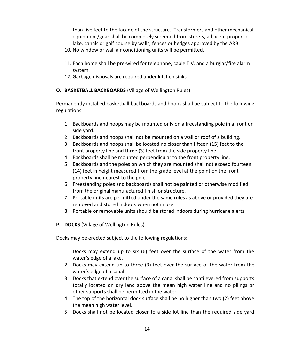than five feet to the facade of the structure. Transformers and other mechanical equipment/gear shall be completely screened from streets, adjacent properties, lake, canals or golf course by walls, fences or hedges approved by the ARB.

- 10. No window or wall air conditioning units will be permitted.
- 11. Each home shall be pre-wired for telephone, cable T.V. and a burglar/fire alarm system.
- 12. Garbage disposals are required under kitchen sinks.

## **O. BASKETBALL BACKBOARDS** (Village of Wellington Rules)

Permanently installed basketball backboards and hoops shall be subject to the following regulations:

- 1. Backboards and hoops may be mounted only on a freestanding pole in a front or side yard.
- 2. Backboards and hoops shall not be mounted on a wall or roof of a building.
- 3. Backboards and hoops shall be located no closer than fifteen (15) feet to the front property line and three (3) feet from the side property line.
- 4. Backboards shall be mounted perpendicular to the front property line.
- 5. Backboards and the poles on which they are mounted shall not exceed fourteen (14) feet in height measured from the grade level at the point on the front property line nearest to the pole.
- 6. Freestanding poles and backboards shall not be painted or otherwise modified from the original manufactured finish or structure.
- 7. Portable units are permitted under the same rules as above or provided they are removed and stored indoors when not in use.
- 8. Portable or removable units should be stored indoors during hurricane alerts.
- **P. DOCKS** (Village of Wellington Rules)

Docks may be erected subject to the following regulations:

- 1. Docks may extend up to six (6) feet over the surface of the water from the water's edge of a lake.
- 2. Docks may extend up to three (3) feet over the surface of the water from the water's edge of a canal.
- 3. Docks that extend over the surface of a canal shall be cantilevered from supports totally located on dry land above the mean high water line and no pilings or other supports shall be permitted in the water.
- 4. The top of the horizontal dock surface shall be no higher than two (2) feet above the mean high water level.
- 5. Docks shall not be located closer to a side lot line than the required side yard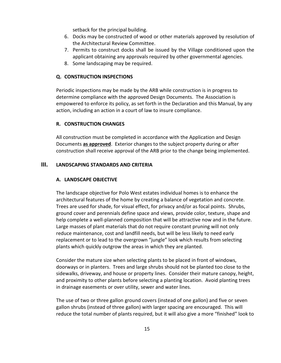setback for the principal building.

- 6. Docks may be constructed of wood or other materials approved by resolution of the Architectural Review Committee.
- 7. Permits to construct docks shall be issued by the Village conditioned upon the applicant obtaining any approvals required by other governmental agencies.
- 8. Some landscaping may be required.

## **Q. CONSTRUCTION INSPECTIONS**

Periodic inspections may be made by the ARB while construction is in progress to determine compliance with the approved Design Documents. The Association is empowered to enforce its policy, as set forth in the Declaration and this Manual, by any action, including an action in a court of law to insure compliance.

## **R. CONSTRUCTION CHANGES**

All construction must be completed in accordance with the Application and Design Documents **as approved**. Exterior changes to the subject property during or after construction shall receive approval of the ARB prior to the change being implemented.

## **III. LANDSCAPING STANDARDS AND CRITERIA**

## **A. LANDSCAPE OBJECTIVE**

The landscape objective for Polo West estates individual homes is to enhance the architectural features of the home by creating a balance of vegetation and concrete. Trees are used for shade, for visual effect, for privacy and/or as focal points. Shrubs, ground cover and perennials define space and views, provide color, texture, shape and help complete a well-planned composition that will be attractive now and in the future. Large masses of plant materials that do not require constant pruning will not only reduce maintenance, cost and landfill needs, but will be less likely to need early replacement or to lead to the overgrown "jungle" look which results from selecting plants which quickly outgrow the areas in which they are planted.

Consider the mature size when selecting plants to be placed in front of windows, doorways or in planters. Trees and large shrubs should not be planted too close to the sidewalks, driveway, and house or property lines. Consider their mature canopy, height, and proximity to other plants before selecting a planting location. Avoid planting trees in drainage easements or over utility, sewer and water lines.

The use of two or three gallon ground covers (instead of one gallon) and five or seven gallon shrubs (instead of three gallon) with larger spacing are encouraged. This will reduce the total number of plants required, but it will also give a more "finished" look to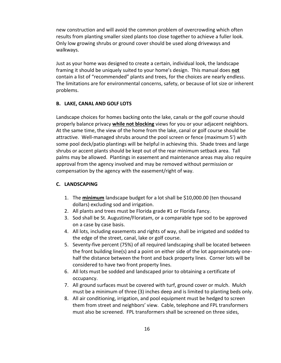new construction and will avoid the common problem of overcrowding which often results from planting smaller sized plants too close together to achieve a fuller look. Only low growing shrubs or ground cover should be used along driveways and walkways.

Just as your home was designed to create a certain, individual look, the landscape framing it should be uniquely suited to your home's design. This manual does **not** contain a list of "recommended" plants and trees, for the choices are nearly endless. The limitations are for environmental concerns, safety, or because of lot size or inherent problems.

#### **B. LAKE, CANAL AND GOLF LOTS**

Landscape choices for homes backing onto the lake, canals or the golf course should properly balance privacy **while not blocking** views for you or your adjacent neighbors. At the same time, the view of the home from the lake, canal or golf course should be attractive. Well-managed shrubs around the pool screen or fence (maximum 5') with some pool deck/patio plantings will be helpful in achieving this. Shade trees and large shrubs or accent plants should be kept out of the rear minimum setback area. Tall palms may be allowed. Plantings in easement and maintenance areas may also require approval from the agency involved and may be removed without permission or compensation by the agency with the easement/right of way.

#### **C. LANDSCAPING**

- 1. The **minimum** landscape budget for a lot shall be \$10,000.00 (ten thousand dollars) excluding sod and irrigation.
- 2. All plants and trees must be Florida grade #1 or Florida Fancy.
- 3. Sod shall be St. Augustine/Floratam, or a comparable type sod to be approved on a case by case basis.
- 4. All lots, including easements and rights of way, shall be irrigated and sodded to the edge of the street, canal, lake or golf course.
- 5. Seventy-five percent (75%) of all required landscaping shall be located between the front building line(s) and a point on either side of the lot approximately onehalf the distance between the front and back property lines. Corner lots will be considered to have two front property lines.
- 6. All lots must be sodded and landscaped prior to obtaining a certificate of occupancy.
- 7. All ground surfaces must be covered with turf, ground cover or mulch. Mulch must be a minimum of three (3) inches deep and is limited to planting beds only.
- 8. All air conditioning, irrigation, and pool equipment must be hedged to screen them from street and neighbors' view. Cable, telephone and FPL transformers must also be screened. FPL transformers shall be screened on three sides,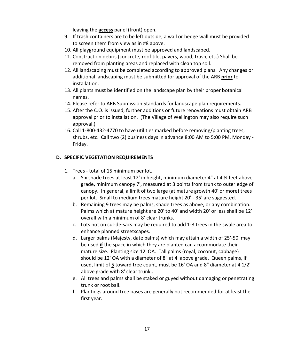leaving the **access** panel (front) open.

- 9. If trash containers are to be left outside, a wall or hedge wall must be provided to screen them from view as in #8 above.
- 10. All playground equipment must be approved and landscaped.
- 11. Construction debris (concrete, roof tile, pavers, wood, trash, etc.) Shall be removed from planting areas and replaced with clean top soil.
- 12. All landscaping must be completed according to approved plans. Any changes or additional landscaping must be submitted for approval of the ARB **prior** to installation.
- 13. All plants must be identified on the landscape plan by their proper botanical names.
- 14. Please refer to ARB Submission Standards for landscape plan requirements.
- 15. After the C.O. is issued, further additions or future renovations must obtain ARB approval prior to installation. (The Village of Wellington may also require such approval.)
- 16. Call 1-800-432-4770 to have utilities marked before removing/planting trees, shrubs, etc. Call two (2) business days in advance 8:00 AM to 5:00 PM, Monday - Friday.

## **D. SPECIFIC VEGETATION REQUIREMENTS**

- 1. Trees total of 15 minimum per lot.
	- a. Six shade trees at least 12' in height, minimum diameter 4" at 4 ½ feet above grade, minimum canopy 7', measured at 3 points from trunk to outer edge of canopy. In general, a limit of two large (at mature growth 40' or more) trees per lot. Small to medium trees mature height 20' - 35' are suggested.
	- b. Remaining 9 trees may be palms, shade trees as above, or any combination. Palms which at mature height are 20' to 40' and width 20' or less shall be 12' overall with a minimum of 8' clear trunks.
	- c. Lots not on cul-de-sacs may be required to add 1-3 trees in the swale area to enhance planned streetscapes.
	- d. Larger palms (Majesty, date palms) which may attain a width of 25'-50' may be used **if** the space in which they are planted can accommodate their mature size. Planting size 12' OA. Tall palms (royal, coconut, cabbage) should be 12' OA with a diameter of 8" at 4' above grade. Queen palms, if used, limit of 5 toward tree count, must be 16' OA and 8" diameter at 4 1/2' above grade with 8' clear trunk..
	- e. All trees and palms shall be staked or guyed without damaging or penetrating trunk or root ball.
	- f. Plantings around tree bases are generally not recommended for at least the first year.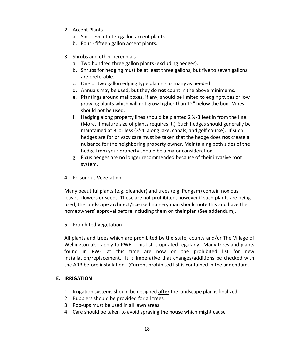- 2. Accent Plants
	- a. Six seven to ten gallon accent plants.
	- b. Four fifteen gallon accent plants.
- 3. Shrubs and other perennials
	- a. Two hundred three gallon plants (excluding hedges).
	- b. Shrubs for hedging must be at least three gallons, but five to seven gallons are preferable.
	- c. One or two gallon edging type plants as many as needed.
	- d. Annuals may be used, but they do **not** count in the above minimums.
	- e. Plantings around mailboxes, if any, should be limited to edging types or low growing plants which will not grow higher than 12" below the box. Vines should not be used.
	- f. Hedging along property lines should be planted 2  $\frac{1}{2}$ -3 feet in from the line. (More, if mature size of plants requires it.) Such hedges should generally be maintained at 8' or less (3'-4' along lake, canals, and golf course). If such hedges are for privacy care must be taken that the hedge does **not** create a nuisance for the neighboring property owner. Maintaining both sides of the hedge from your property should be a major consideration.
	- g. Ficus hedges are no longer recommended because of their invasive root system.
- 4. Poisonous Vegetation

Many beautiful plants (e.g. oleander) and trees (e.g. Pongam) contain noxious leaves, flowers or seeds. These are not prohibited, however if such plants are being used, the landscape architect/licensed nursery man should note this and have the homeowners' approval before including them on their plan (See addendum).

5. Prohibited Vegetation

All plants and trees which are prohibited by the state, county and/or The Village of Wellington also apply to PWE. This list is updated regularly. Many trees and plants found in PWE at this time are now on the prohibited list for new installation/replacement. It is imperative that changes/additions be checked with the ARB before installation. (Current prohibited list is contained in the addendum.)

## **E. IRRIGATION**

- 1. Irrigation systems should be designed **after** the landscape plan is finalized.
- 2. Bubblers should be provided for all trees.
- 3. Pop-ups must be used in all lawn areas.
- 4. Care should be taken to avoid spraying the house which might cause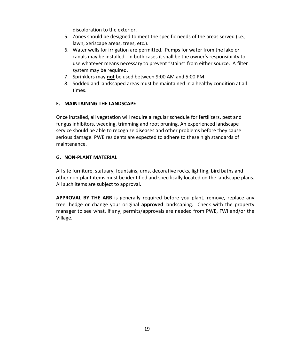discoloration to the exterior.

- 5. Zones should be designed to meet the specific needs of the areas served (i.e., lawn, xeriscape areas, trees, etc.).
- 6. Water wells for irrigation are permitted. Pumps for water from the lake or canals may be installed. In both cases it shall be the owner's responsibility to use whatever means necessary to prevent "stains" from either source. A filter system may be required.
- 7. Sprinklers may **not** be used between 9:00 AM and 5:00 PM.
- 8. Sodded and landscaped areas must be maintained in a healthy condition at all times.

## **F. MAINTAINING THE LANDSCAPE**

Once installed, all vegetation will require a regular schedule for fertilizers, pest and fungus inhibitors, weeding, trimming and root pruning. An experienced landscape service should be able to recognize diseases and other problems before they cause serious damage. PWE residents are expected to adhere to these high standards of maintenance.

## **G. NON-PLANT MATERIAL**

All site furniture, statuary, fountains, urns, decorative rocks, lighting, bird baths and other non-plant items must be identified and specifically located on the landscape plans. All such items are subject to approval.

**APPROVAL BY THE ARB** is generally required before you plant, remove, replace any tree, hedge or change your original **approved** landscaping. Check with the property manager to see what, if any, permits/approvals are needed from PWE, FWI and/or the Village.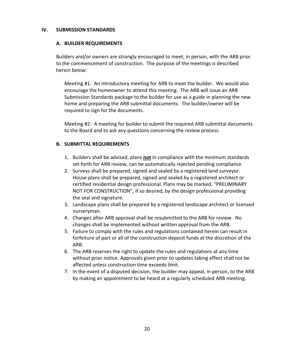#### **IV. SUBMISSION STANDARDS**

#### **A. BUILDER REQUIREMENTS**

Builders and/or owners are strongly encouraged to meet, in person, with the ARB prior to the commencement of construction. The purpose of the meetings is described herein below:

Meeting #1: An introductory meeting for ARB to meet the builder. We would also encourage the homeowner to attend this meeting. The ARB will issue an ARB Submission Standards package to the builder for use as a guide in planning the new home and preparing the ARB submittal documents. The builder/owner will be required to sign for the documents.

Meeting #2: A meeting for builder to submit the required ARB submittal documents to the Board and to ask any questions concerning the review process.

## **B. SUBMITTAL REQUIREMENTS**

- 1. Builders shall be advised, plans **not** in compliance with the minimum standards set forth for ARB review, can be automatically rejected pending compliance.
- 2. Surveys shall be prepared, signed and sealed by a registered land surveyor. House plans shall be prepared, signed and sealed by a registered architect or certified residential design professional. Plans may be marked, "PRELIMINARY NOT FOR CONSTRUCTION", if so desired, by the design professional providing the seal and signature.
- 3. Landscape plans shall be prepared by a registered landscape architect or licensed nurseryman.
- 4. Changes after ARB approval shall be resubmitted to the ARB for review. No changes shall be implemented without written approval from the ARB.
- 5. Failure to comply with the rules and regulations contained herein can result in forfeiture of part or all of the construction deposit funds at the discretion of the ARB.
- 6. The ARB reserves the right to update the rules and regulations at any time without prior notice. Approvals given prior to updates taking effect shall not be affected unless construction time exceeds limit.
- 7. In the event of a disputed decision, the builder may appeal, in person, to the ARB by making an appointment to be heard at a regularly scheduled ARB meeting.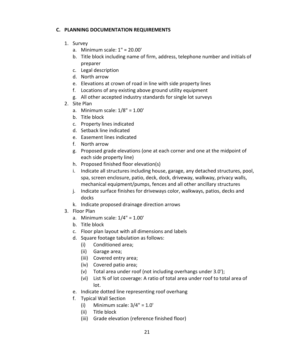## **C. PLANNING DOCUMENTATION REQUIREMENTS**

- 1. Survey
	- a. Minimum scale: 1" = 20.00'
	- b. Title block including name of firm, address, telephone number and initials of preparer
	- c. Legal description
	- d. North arrow
	- e. Elevations at crown of road in line with side property lines
	- f. Locations of any existing above ground utility equipment
	- g. All other accepted industry standards for single lot surveys
- 2. Site Plan
	- a. Minimum scale: 1/8" = 1.00'
	- b. Title block
	- c. Property lines indicated
	- d. Setback line indicated
	- e. Easement lines indicated
	- f. North arrow
	- g. Proposed grade elevations (one at each corner and one at the midpoint of each side property line)
	- h. Proposed finished floor elevation(s)
	- i. Indicate all structures including house, garage, any detached structures, pool, spa, screen enclosure, patio, deck, dock, driveway, walkway, privacy walls, mechanical equipment/pumps, fences and all other ancillary structures
	- j. Indicate surface finishes for driveways color, walkways, patios, decks and docks
	- k. Indicate proposed drainage direction arrows
- 3. Floor Plan
	- a. Minimum scale: 1/4" = 1.00'
	- b. Title block
	- c. Floor plan layout with all dimensions and labels
	- d. Square footage tabulation as follows:
		- (i) Conditioned area;
		- (ii) Garage area;
		- (iii) Covered entry area;
		- (iv) Covered patio area;
		- (v) Total area under roof (not including overhangs under 3.0');
		- (vi) List % of lot coverage: A ratio of total area under roof to total area of lot.
	- e. Indicate dotted line representing roof overhang
	- f. Typical Wall Section
		- (i) Minimum scale:  $3/4$ " =  $1.0$ "
		- (ii) Title block
		- (iii) Grade elevation (reference finished floor)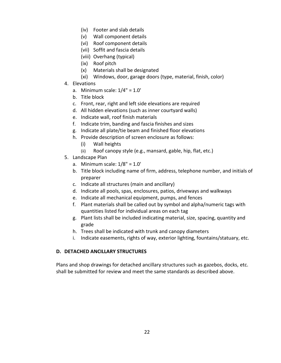- (iv) Footer and slab details
- (v) Wall component details
- (vi) Roof component details
- (vii) Soffit and fascia details
- (viii) Overhang (typical)
- (ix) Roof pitch
- (x) Materials shall be designated
- (xi) Windows, door, garage doors (type, material, finish, color)
- 4. Elevations
	- a. Minimum scale:  $1/4" = 1.0'$
	- b. Title block
	- c. Front, rear, right and left side elevations are required
	- d. All hidden elevations (such as inner courtyard walls)
	- e. Indicate wall, roof finish materials
	- f. Indicate trim, banding and fascia finishes and sizes
	- g. Indicate all plate/tie beam and finished floor elevations
	- h. Provide description of screen enclosure as follows:
		- (i) Wall heights
		- (ii) Roof canopy style (e.g., mansard, gable, hip, flat, etc.)
- 5. Landscape Plan
	- a. Minimum scale:  $1/8" = 1.0'$
	- b. Title block including name of firm, address, telephone number, and initials of preparer
	- c. Indicate all structures (main and ancillary)
	- d. Indicate all pools, spas, enclosures, patios, driveways and walkways
	- e. Indicate all mechanical equipment, pumps, and fences
	- f. Plant materials shall be called out by symbol and alpha/numeric tags with quantities listed for individual areas on each tag
	- g. Plant lists shall be included indicating material, size, spacing, quantity and grade
	- h. Trees shall be indicated with trunk and canopy diameters
	- i. Indicate easements, rights of way, exterior lighting, fountains/statuary, etc.

## **D. DETACHED ANCILLARY STRUCTURES**

Plans and shop drawings for detached ancillary structures such as gazebos, docks, etc. shall be submitted for review and meet the same standards as described above.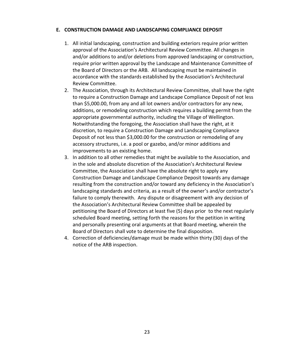## **E. CONSTRUCTION DAMAGE AND LANDSCAPING COMPLIANCE DEPOSIT**

- 1. All initial landscaping, construction and building exteriors require prior written approval of the Association's Architectural Review Committee. All changes in and/or additions to and/or deletions from approved landscaping or construction, require prior written approval by the Landscape and Maintenance Committee of the Board of Directors or the ARB. All landscaping must be maintained in accordance with the standards established by the Association's Architectural Review Committee.
- 2. The Association, through its Architectural Review Committee, shall have the right to require a Construction Damage and Landscape Compliance Deposit of not less than \$5,000.00, from any and all lot owners and/or contractors for any new, additions, or remodeling construction which requires a building permit from the appropriate governmental authority, including the Village of Wellington. Notwithstanding the foregoing, the Association shall have the right, at it discretion, to require a Construction Damage and Landscaping Compliance Deposit of not less than \$3,000.00 for the construction or remodeling of any accessory structures, i.e. a pool or gazebo, and/or minor additions and improvements to an existing home.
- 3. In addition to all other remedies that might be available to the Association, and in the sole and absolute discretion of the Association's Architectural Review Committee, the Association shall have the absolute right to apply any Construction Damage and Landscape Compliance Deposit towards any damage resulting from the construction and/or toward any deficiency in the Association's landscaping standards and criteria, as a result of the owner's and/or contractor's failure to comply therewith. Any dispute or disagreement with any decision of the Association's Architectural Review Committee shall be appealed by petitioning the Board of Directors at least five (5) days prior to the next regularly scheduled Board meeting, setting forth the reasons for the petition in writing and personally presenting oral arguments at that Board meeting, wherein the Board of Directors shall vote to determine the final disposition.
- 4. Correction of deficiencies/damage must be made within thirty (30) days of the notice of the ARB inspection.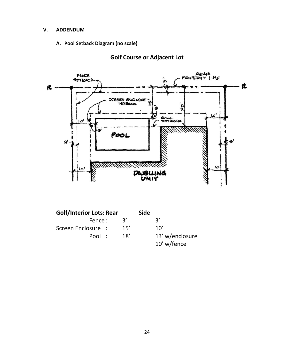#### **V. ADDENDUM**

## **A. Pool Setback Diagram (no scale)**



# **Golf Course or Adjacent Lot**

| <b>Golf/Interior Lots: Rear</b> |                | <b>Side</b> |                 |
|---------------------------------|----------------|-------------|-----------------|
| Fence:                          | $\mathcal{R}'$ |             | २′              |
| Screen Enclosure :              | 15'            |             | 10'             |
| Pool:                           | 18'            |             | 13' w/enclosure |
|                                 |                |             | 10' w/fence     |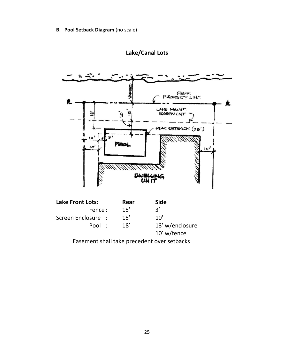**B. Pool Setback Diagram** (no scale)



# **Lake/Canal Lots**

Easement shall take precedent over setbacks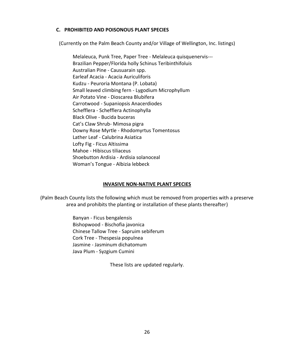## **C. PROHIBITED AND POISONOUS PLANT SPECIES**

(Currently on the Palm Beach County and/or Village of Wellington, Inc. listings)

Melaleuca, Punk Tree, Paper Tree - Melaleuca quisquenervis--- Brazilian Pepper/Florida holly Schinus Teribinthifoluis Australian Pine - Causuarain spp. Earleaf Acacia - Acacia Auriculiforis Kudzu - Peuroria Montana (P. Lobata) Small leaved climbing fern - Lygodium Microphyllum Air Potato Vine - Dioscarea Blubifera Carrotwood - Supaniopsis Anacerdiodes Schefflera - Schefflera Actinophylla Black Olive - Bucida buceras Cat's Claw Shrub- Mimosa pigra Downy Rose Myrtle - Rhodomyrtus Tomentosus Lather Leaf - Calubrina Asiatica Lofty Fig - Ficus Altissima Mahoe - Hibiscus tiliaceus Shoebutton Ardisia - Ardisia solanoceal Woman's Tongue - Albizia lebbeck

## **INVASIVE NON-NATIVE PLANT SPECIES**

(Palm Beach County lists the following which must be removed from properties with a preserve area and prohibits the planting or installation of these plants thereafter)

> Banyan - Ficus bengalensis Bishopwood - Bischofia javonica Chinese Tallow Tree - Sapruim sebiferum Cork Tree - Thespesia populnea Jasmine - Jasminum dichatomum Java Plum - Syzgium Cumini

> > These lists are updated regularly.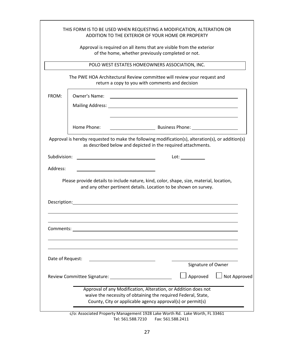|                                                                                                                            |                      | THIS FORM IS TO BE USED WHEN REQUESTING A MODIFICATION, ALTERATION OR<br>ADDITION TO THE EXTERIOR OF YOUR HOME OR PROPERTY                                                                                                     |              |
|----------------------------------------------------------------------------------------------------------------------------|----------------------|--------------------------------------------------------------------------------------------------------------------------------------------------------------------------------------------------------------------------------|--------------|
|                                                                                                                            |                      | Approval is required on all items that are visible from the exterior<br>of the home, whether previously completed or not.                                                                                                      |              |
|                                                                                                                            |                      | POLO WEST ESTATES HOMEOWNERS ASSOCIATION, INC.                                                                                                                                                                                 |              |
| The PWE HOA Architectural Review committee will review your request and<br>return a copy to you with comments and decision |                      |                                                                                                                                                                                                                                |              |
| FROM:                                                                                                                      | <b>Owner's Name:</b> | <u> 1989 - Johann Stoff, deutscher Stoffen und der Stoffen und der Stoffen und der Stoffen und der Stoffen und der</u>                                                                                                         |              |
|                                                                                                                            |                      | Mailing Address: National Address: National Address: National Address: National Address: National Address: National Address: National Address: National Address: National Address: National Address: National Address: Nationa |              |
|                                                                                                                            | Home Phone:          |                                                                                                                                                                                                                                |              |
|                                                                                                                            |                      | Approval is hereby requested to make the following modification(s), alteration(s), or addition(s)<br>as described below and depicted in the required attachments.                                                              |              |
| Subdivision:                                                                                                               |                      | Lot: ______________                                                                                                                                                                                                            |              |
| Address:                                                                                                                   |                      |                                                                                                                                                                                                                                |              |
|                                                                                                                            |                      | Please provide details to include nature, kind, color, shape, size, material, location,<br>and any other pertinent details. Location to be shown on survey.                                                                    |              |
|                                                                                                                            |                      |                                                                                                                                                                                                                                |              |
| Comments:                                                                                                                  |                      |                                                                                                                                                                                                                                |              |
| Date of Request:                                                                                                           |                      |                                                                                                                                                                                                                                |              |
|                                                                                                                            |                      | Signature of Owner                                                                                                                                                                                                             |              |
|                                                                                                                            |                      | Approved                                                                                                                                                                                                                       | Not Approved |
|                                                                                                                            |                      | Approval of any Modification, Alteration, or Addition does not<br>waive the necessity of obtaining the required Federal, State,<br>County, City or applicable agency approval(s) or permit(s)                                  |              |
|                                                                                                                            |                      | c/o: Associated Property Management 1928 Lake Worth Rd. Lake Worth, FL 33461                                                                                                                                                   |              |

Tel: 561.588.7210 Fax: 561.588.2411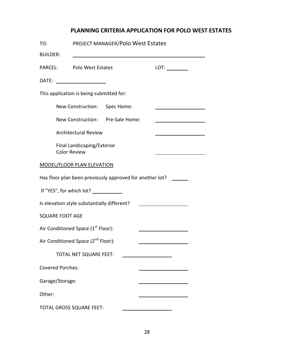# **PLANNING CRITERIA APPLICATION FOR POLO WEST ESTATES**

| TO:                     |                                                   | PROJECT MANAGER/Polo West Estates                        |  |
|-------------------------|---------------------------------------------------|----------------------------------------------------------|--|
| <b>BUILDER:</b>         |                                                   |                                                          |  |
| PARCEL:                 | <b>Polo West Estates</b>                          |                                                          |  |
|                         |                                                   |                                                          |  |
|                         | This application is being submitted for:          |                                                          |  |
|                         | New Construction: Spec Home:                      |                                                          |  |
|                         |                                                   | New Construction: Pre-Sale Home:                         |  |
|                         | <b>Architectural Review</b>                       |                                                          |  |
|                         | Final Landscaping/Exterior<br><b>Color Review</b> |                                                          |  |
|                         | MODEL/FLOOR PLAN ELEVATION                        |                                                          |  |
|                         |                                                   | Has floor plan been previously approved for another lot? |  |
|                         | If "YES", for which lot? ___________              |                                                          |  |
|                         | Is elevation style substantially different?       |                                                          |  |
| <b>SQUARE FOOT AGE</b>  |                                                   |                                                          |  |
|                         | Air Conditioned Space (1 <sup>st</sup> Floor):    |                                                          |  |
|                         | Air Conditioned Space (2 <sup>nd</sup> Floor):    |                                                          |  |
|                         | TOTAL NET SQUARE FEET:                            |                                                          |  |
| <b>Covered Porches:</b> |                                                   |                                                          |  |
| Garage/Storage:         |                                                   |                                                          |  |
| Other:                  |                                                   |                                                          |  |
|                         | TOTAL GROSS SQUARE FEET:                          |                                                          |  |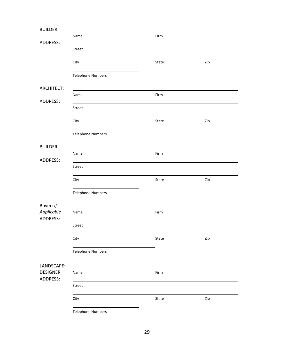| <b>BUILDER:</b>             |                          |       |     |
|-----------------------------|--------------------------|-------|-----|
| <b>ADDRESS:</b>             | Name                     | Firm  |     |
|                             | Street                   |       |     |
|                             | City                     | State | Zip |
|                             | <b>Telephone Numbers</b> |       |     |
| <b>ARCHITECT:</b>           |                          |       |     |
| ADDRESS:                    | Name                     | Firm  |     |
|                             | Street                   |       |     |
|                             | City                     | State | Zip |
|                             | <b>Telephone Numbers</b> |       |     |
| <b>BUILDER:</b>             |                          |       |     |
| <b>ADDRESS:</b>             | Name                     | Firm  |     |
|                             | Street                   |       |     |
|                             | City                     | State | Zip |
|                             | <b>Telephone Numbers</b> |       |     |
| Buyer: If                   |                          |       |     |
| Applicable<br>ADDRESS:      | Name                     | Firm  |     |
|                             | Street                   |       |     |
|                             | City                     | State | Zip |
|                             | <b>Telephone Numbers</b> |       |     |
| LANDSCAPE:                  |                          |       |     |
| <b>DESIGNER</b><br>ADDRESS: | Name                     | Firm  |     |
|                             | Street                   |       |     |
|                             | City                     | State | Zip |
|                             | <b>Telephone Numbers</b> |       |     |

29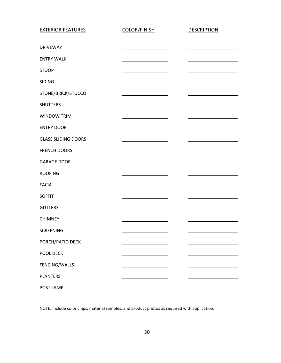| <b>EXTERIOR FEATURES</b>   | <b>COLOR/FINISH</b>                                                                                                  | <b>DESCRIPTION</b> |
|----------------------------|----------------------------------------------------------------------------------------------------------------------|--------------------|
|                            |                                                                                                                      |                    |
| <b>DRIVEWAY</b>            |                                                                                                                      |                    |
| <b>ENTRY WALK</b>          |                                                                                                                      |                    |
| <b>STOOP</b>               |                                                                                                                      |                    |
| <b>SIDING</b>              |                                                                                                                      |                    |
| STONE/BRICK/STUCCO         |                                                                                                                      |                    |
| <b>SHUTTERS</b>            |                                                                                                                      |                    |
| <b>WINDOW TRIM</b>         |                                                                                                                      |                    |
| <b>ENTRY DOOR</b>          |                                                                                                                      |                    |
| <b>GLASS SLIDING DOORS</b> |                                                                                                                      |                    |
| <b>FRENCH DOORS</b>        |                                                                                                                      |                    |
| <b>GARAGE DOOR</b>         |                                                                                                                      |                    |
| <b>ROOFING</b>             |                                                                                                                      |                    |
| <b>FACIA</b>               |                                                                                                                      |                    |
| <b>SOFFIT</b>              |                                                                                                                      |                    |
| <b>GUTTERS</b>             |                                                                                                                      |                    |
| <b>CHIMNEY</b>             |                                                                                                                      |                    |
| SCREENING                  |                                                                                                                      |                    |
| PORCH/PATIO DECK           | <u> 1980 - Jan James James Jan James James Jan James James James James James James James James James James James</u> |                    |
| POOL DECK                  |                                                                                                                      |                    |
| FENCING/WALLS              |                                                                                                                      |                    |
| <b>PLANTERS</b>            | <u> 1980 - Johann Barn, mars an t-Amerikaansk komponister (</u>                                                      |                    |
| POST LAMP                  |                                                                                                                      |                    |

NOTE: Include color chips, material samples, and product photos as required with application.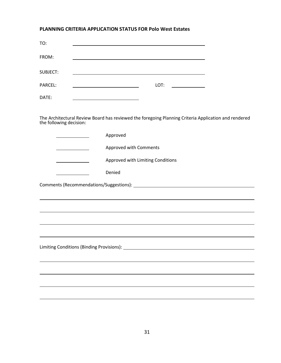## **PLANNING CRITERIA APPLICATION STATUS FOR Polo West Estates**

| TO:      |      |  |
|----------|------|--|
| FROM:    |      |  |
| SUBJECT: |      |  |
| PARCEL:  | LOT: |  |
| DATE:    |      |  |

The Architectural Review Board has reviewed the foregoing Planning Criteria Application and rendered the following decision:

|                                       | Approved                                                                         |
|---------------------------------------|----------------------------------------------------------------------------------|
|                                       | Approved with Comments                                                           |
|                                       | Approved with Limiting Conditions                                                |
| and the control of the control of the | Denied                                                                           |
|                                       |                                                                                  |
|                                       |                                                                                  |
|                                       |                                                                                  |
|                                       | ,我们也不会有什么。""我们的人,我们也不会有什么?""我们的人,我们也不会有什么?""我们的人,我们也不会有什么?""我们的人,我们也不会有什么?""我们的人 |
|                                       |                                                                                  |
|                                       |                                                                                  |
|                                       |                                                                                  |
|                                       |                                                                                  |
|                                       |                                                                                  |
|                                       |                                                                                  |